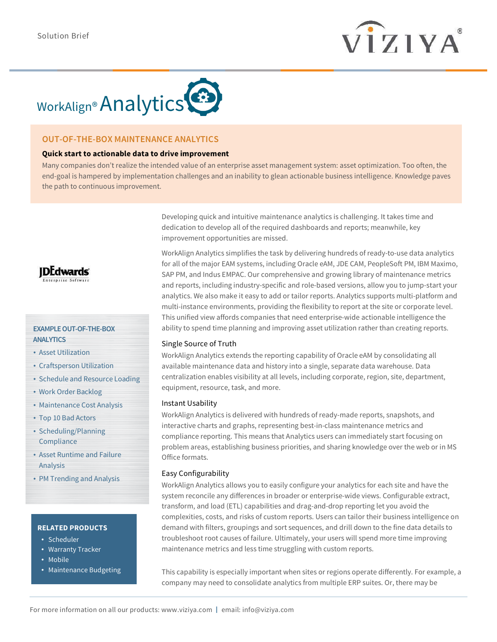



# **OUT-OF-THE-BOX MAINTENANCE ANALYTICS**

### **Quick start to actionable data to drive improvement**

Many companies don't realize the intended value of an enterprise asset management system: asset optimization. Too often, the end-goal is hampered by implementation challenges and an inability to glean actionable business intelligence. Knowledge paves the path to continuous improvement.

> Developing quick and intuitive maintenance analytics is challenging. It takes time and dedication to develop all of the required dashboards and reports; meanwhile, key improvement opportunities are missed.

WorkAlign Analytics simplifies the task by delivering hundreds of ready-to-use data analytics for all of the major EAM systems, including Oracle eAM, JDE CAM, PeopleSoft PM, IBM Maximo, SAP PM, and Indus EMPAC. Our comprehensive and growing library of maintenance metrics and reports, including industry-specific and role-based versions, allow you to jump-start your analytics. We also make it easy to add or tailor reports. Analytics supports multi-platform and multi-instance environments, providing the flexibility to report at the site or corporate level. This unified view affords companies that need enterprise-wide actionable intelligence the ability to spend time planning and improving asset utilization rather than creating reports.

#### Single Source of Truth

WorkAlign Analytics extends the reporting capability of Oracle eAM by consolidating all available maintenance data and history into a single, separate data warehouse. Data centralization enables visibility at all levels, including corporate, region, site, department, equipment, resource, task, and more.

#### Instant Usability

WorkAlign Analytics is delivered with hundreds of ready-made reports, snapshots, and interactive charts and graphs, representing best-in-class maintenance metrics and compliance reporting. This means that Analytics users can immediately start focusing on problem areas, establishing business priorities, and sharing knowledge over the web or in MS Office formats.

#### Easy Configurability

WorkAlign Analytics allows you to easily configure your analytics for each site and have the system reconcile any differences in broader or enterprise-wide views. Configurable extract, transform, and load (ETL) capabilities and drag-and-drop reporting let you avoid the complexities, costs, and risks of custom reports. Users can tailor their business intelligence on demand with filters, groupings and sort sequences, and drill down to the fine data details to troubleshoot root causes of failure. Ultimately, your users will spend more time improving maintenance metrics and less time struggling with custom reports.

This capability is especially important when sites or regions operate differently. For example, a company may need to consolidate analytics from multiple ERP suites. Or, there may be



**EXAMPLE OUT-OF-THE-BOX ANALYTICS**

- Asset Utilization
- Craftsperson Utilization
- Schedule and Resource Loading
- Work Order Backlog
- Maintenance Cost Analysis
- Top 10 Bad Actors
- Scheduling/Planning **Compliance**
- Asset Runtime and Failure Analysis
- PM Trending and Analysis

## **RELATED PRODUCTS**

- Scheduler
- Warranty Tracker
- Mobile
- Maintenance Budgeting